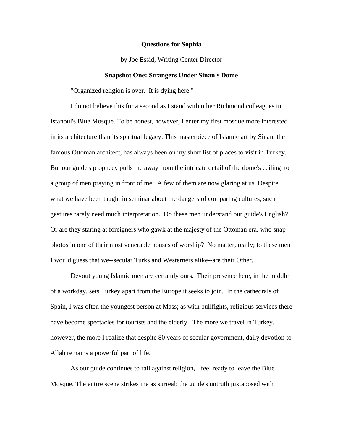## **Questions for Sophia**

by Joe Essid, Writing Center Director

### **Snapshot One: Strangers Under Sinan's Dome**

"Organized religion is over. It is dying here."

I do not believe this for a second as I stand with other Richmond colleagues in Istanbul's Blue Mosque. To be honest, however, I enter my first mosque more interested in its architecture than its spiritual legacy. This masterpiece of Islamic art by Sinan, the famous Ottoman architect, has always been on my short list of places to visit in Turkey. But our guide's prophecy pulls me away from the intricate detail of the dome's ceiling to a group of men praying in front of me. A few of them are now glaring at us. Despite what we have been taught in seminar about the dangers of comparing cultures, such gestures rarely need much interpretation. Do these men understand our guide's English? Or are they staring at foreigners who gawk at the majesty of the Ottoman era, who snap photos in one of their most venerable houses of worship? No matter, really; to these men I would guess that we--secular Turks and Westerners alike--are their Other.

 Devout young Islamic men are certainly ours. Their presence here, in the middle of a workday, sets Turkey apart from the Europe it seeks to join. In the cathedrals of Spain, I was often the youngest person at Mass; as with bullfights, religious services there have become spectacles for tourists and the elderly. The more we travel in Turkey, however, the more I realize that despite 80 years of secular government, daily devotion to Allah remains a powerful part of life.

As our guide continues to rail against religion, I feel ready to leave the Blue Mosque. The entire scene strikes me as surreal: the guide's untruth juxtaposed with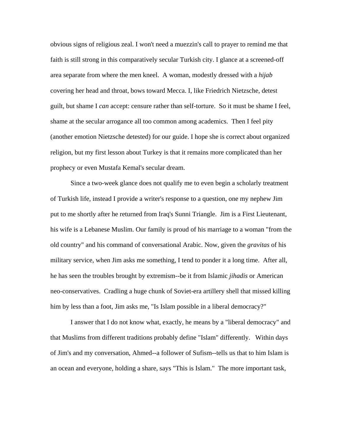obvious signs of religious zeal. I won't need a muezzin's call to prayer to remind me that faith is still strong in this comparatively secular Turkish city. I glance at a screened-off area separate from where the men kneel. A woman, modestly dressed with a *hijab* covering her head and throat, bows toward Mecca. I, like Friedrich Nietzsche, detest guilt, but shame I *can* accept: censure rather than self-torture. So it must be shame I feel, shame at the secular arrogance all too common among academics. Then I feel pity (another emotion Nietzsche detested) for our guide. I hope she is correct about organized religion, but my first lesson about Turkey is that it remains more complicated than her prophecy or even Mustafa Kemal's secular dream.

Since a two-week glance does not qualify me to even begin a scholarly treatment of Turkish life, instead I provide a writer's response to a question, one my nephew Jim put to me shortly after he returned from Iraq's Sunni Triangle. Jim is a First Lieutenant, his wife is a Lebanese Muslim. Our family is proud of his marriage to a woman "from the old country" and his command of conversational Arabic. Now, given the *gravitas* of his military service, when Jim asks me something, I tend to ponder it a long time. After all, he has seen the troubles brought by extremism--be it from Islamic *jihadis* or American neo-conservatives. Cradling a huge chunk of Soviet-era artillery shell that missed killing him by less than a foot, Jim asks me, "Is Islam possible in a liberal democracy?"

I answer that I do not know what, exactly, he means by a "liberal democracy" and that Muslims from different traditions probably define "Islam" differently. Within days of Jim's and my conversation, Ahmed--a follower of Sufism--tells us that to him Islam is an ocean and everyone, holding a share, says "This is Islam." The more important task,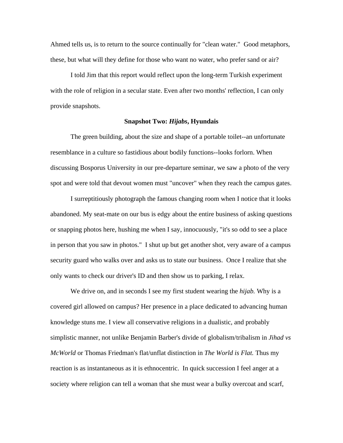Ahmed tells us, is to return to the source continually for "clean water." Good metaphors, these, but what will they define for those who want no water, who prefer sand or air?

I told Jim that this report would reflect upon the long-term Turkish experiment with the role of religion in a secular state. Even after two months' reflection, I can only provide snapshots.

# **Snapshot Two:** *Hijabs***, Hyundais**

 The green building, about the size and shape of a portable toilet--an unfortunate resemblance in a culture so fastidious about bodily functions--looks forlorn. When discussing Bosporus University in our pre-departure seminar, we saw a photo of the very spot and were told that devout women must "uncover" when they reach the campus gates.

 I surreptitiously photograph the famous changing room when I notice that it looks abandoned. My seat-mate on our bus is edgy about the entire business of asking questions or snapping photos here, hushing me when I say, innocuously, "it's so odd to see a place in person that you saw in photos." I shut up but get another shot, very aware of a campus security guard who walks over and asks us to state our business. Once I realize that she only wants to check our driver's ID and then show us to parking, I relax.

We drive on, and in seconds I see my first student wearing the *hijab.* Why is a covered girl allowed on campus? Her presence in a place dedicated to advancing human knowledge stuns me. I view all conservative religions in a dualistic, and probably simplistic manner, not unlike Benjamin Barber's divide of globalism/tribalism in *Jihad vs McWorld* or Thomas Friedman's flat/unflat distinction in *The World is Flat.* Thus my reaction is as instantaneous as it is ethnocentric. In quick succession I feel anger at a society where religion can tell a woman that she must wear a bulky overcoat and scarf,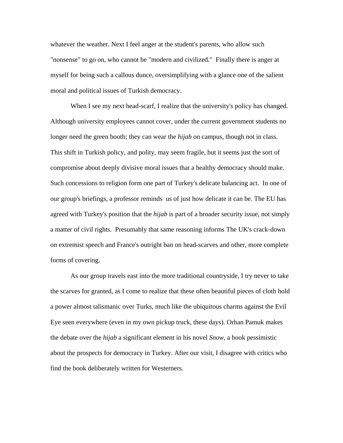whatever the weather. Next I feel anger at the student's parents, who allow such "nonsense" to go on, who cannot be "modern and civilized." Finally there is anger at myself for being such a callous dunce, oversimplifying with a glance one of the salient moral and political issues of Turkish democracy.

When I see my next head-scarf, I realize that the university's policy has changed. Although university employees cannot cover, under the current government students no longer need the green booth; they can wear the *hijab* on campus, though not in class. This shift in Turkish policy, and polity, may seem fragile, but it seems just the sort of compromise about deeply divisive moral issues that a healthy democracy should make. Such concessions to religion form one part of Turkey's delicate balancing act. In one of our group's briefings, a professor reminds us of just how delicate it can be. The EU has agreed with Turkey's position that the *hijab* is part of a broader security issue, not simply a matter of civil rights. Presumably that same reasoning informs The UK's crack-down on extremist speech and France's outright ban on head-scarves and other, more complete forms of covering.

As our group travels east into the more traditional countryside, I try never to take the scarves for granted, as I come to realize that these often beautiful pieces of cloth hold a power almost talismanic over Turks, much like the ubiquitous charms against the Evil Eye seen everywhere (even in my own pickup truck, these days). Orhan Pamuk makes the debate over the *hijab* a significant element in his novel *Snow*, a book pessimistic about the prospects for democracy in Turkey. After our visit, I disagree with critics who find the book deliberately written for Westerners.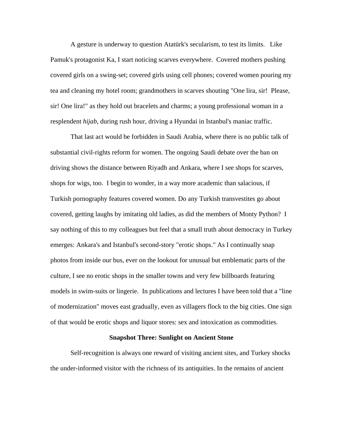A gesture is underway to question Atatürk's secularism, to test its limits. Like Pamuk's protagonist Ka, I start noticing scarves everywhere. Covered mothers pushing covered girls on a swing-set; covered girls using cell phones; covered women pouring my tea and cleaning my hotel room; grandmothers in scarves shouting "One lira, sir! Please, sir! One lira!" as they hold out bracelets and charms; a young professional woman in a resplendent *hijab*, during rush hour, driving a Hyundai in Istanbul's maniac traffic.

That last act would be forbidden in Saudi Arabia, where there is no public talk of substantial civil-rights reform for women. The ongoing Saudi debate over the ban on driving shows the distance between Riyadh and Ankara, where I see shops for scarves, shops for wigs, too. I begin to wonder, in a way more academic than salacious, if Turkish pornography features covered women. Do any Turkish transvestites go about covered, getting laughs by imitating old ladies, as did the members of Monty Python? I say nothing of this to my colleagues but feel that a small truth about democracy in Turkey emerges: Ankara's and Istanbul's second-story "erotic shops." As I continually snap photos from inside our bus, ever on the lookout for unusual but emblematic parts of the culture, I see no erotic shops in the smaller towns and very few billboards featuring models in swim-suits or lingerie. In publications and lectures I have been told that a "line of modernization" moves east gradually, even as villagers flock to the big cities. One sign of that would be erotic shops and liquor stores: sex and intoxication as commodities.

# **Snapshot Three: Sunlight on Ancient Stone**

Self-recognition is always one reward of visiting ancient sites, and Turkey shocks the under-informed visitor with the richness of its antiquities. In the remains of ancient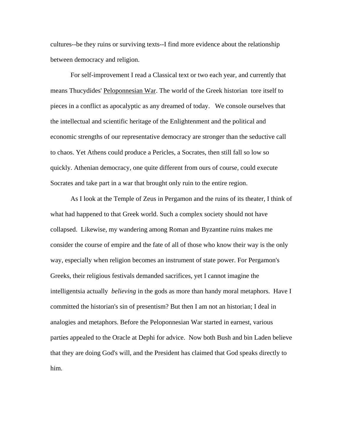cultures--be they ruins or surviving texts--I find more evidence about the relationship between democracy and religion.

For self-improvement I read a Classical text or two each year, and currently that means Thucydides' Peloponnesian War. The world of the Greek historian tore itself to pieces in a conflict as apocalyptic as any dreamed of today. We console ourselves that the intellectual and scientific heritage of the Enlightenment and the political and economic strengths of our representative democracy are stronger than the seductive call to chaos. Yet Athens could produce a Pericles, a Socrates, then still fall so low so quickly. Athenian democracy, one quite different from ours of course, could execute Socrates and take part in a war that brought only ruin to the entire region.

As I look at the Temple of Zeus in Pergamon and the ruins of its theater, I think of what had happened to that Greek world. Such a complex society should not have collapsed. Likewise, my wandering among Roman and Byzantine ruins makes me consider the course of empire and the fate of all of those who know their way is the only way, especially when religion becomes an instrument of state power. For Pergamon's Greeks, their religious festivals demanded sacrifices, yet I cannot imagine the intelligentsia actually *believing* in the gods as more than handy moral metaphors. Have I committed the historian's sin of presentism? But then I am not an historian; I deal in analogies and metaphors. Before the Peloponnesian War started in earnest, various parties appealed to the Oracle at Dephi for advice. Now both Bush and bin Laden believe that they are doing God's will, and the President has claimed that God speaks directly to him.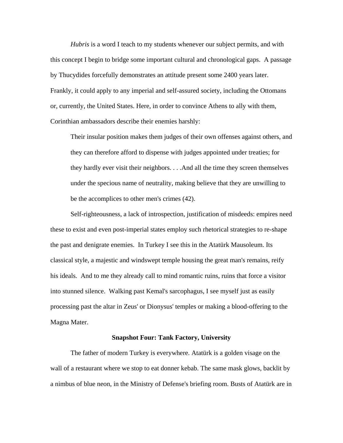*Hubris* is a word I teach to my students whenever our subject permits, and with this concept I begin to bridge some important cultural and chronological gaps. A passage by Thucydides forcefully demonstrates an attitude present some 2400 years later. Frankly, it could apply to any imperial and self-assured society, including the Ottomans or, currently, the United States. Here, in order to convince Athens to ally with them, Corinthian ambassadors describe their enemies harshly:

Their insular position makes them judges of their own offenses against others, and they can therefore afford to dispense with judges appointed under treaties; for they hardly ever visit their neighbors. . . .And all the time they screen themselves under the specious name of neutrality, making believe that they are unwilling to be the accomplices to other men's crimes (42).

Self-righteousness, a lack of introspection, justification of misdeeds: empires need these to exist and even post-imperial states employ such rhetorical strategies to re-shape the past and denigrate enemies. In Turkey I see this in the Atatürk Mausoleum. Its classical style, a majestic and windswept temple housing the great man's remains, reify his ideals. And to me they already call to mind romantic ruins, ruins that force a visitor into stunned silence. Walking past Kemal's sarcophagus, I see myself just as easily processing past the altar in Zeus' or Dionysus' temples or making a blood-offering to the Magna Mater.

#### **Snapshot Four: Tank Factory, University**

The father of modern Turkey is everywhere. Atatürk is a golden visage on the wall of a restaurant where we stop to eat donner kebab. The same mask glows, backlit by a nimbus of blue neon, in the Ministry of Defense's briefing room. Busts of Atatürk are in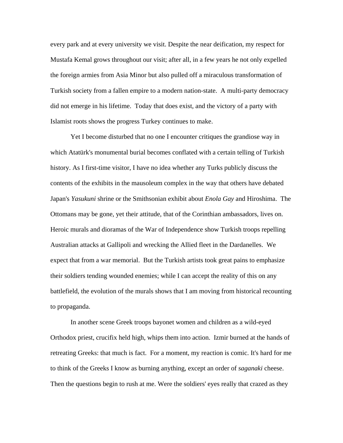every park and at every university we visit. Despite the near deification, my respect for Mustafa Kemal grows throughout our visit; after all, in a few years he not only expelled the foreign armies from Asia Minor but also pulled off a miraculous transformation of Turkish society from a fallen empire to a modern nation-state. A multi-party democracy did not emerge in his lifetime. Today that does exist, and the victory of a party with Islamist roots shows the progress Turkey continues to make.

Yet I become disturbed that no one I encounter critiques the grandiose way in which Atatürk's monumental burial becomes conflated with a certain telling of Turkish history. As I first-time visitor, I have no idea whether any Turks publicly discuss the contents of the exhibits in the mausoleum complex in the way that others have debated Japan's *Yasukuni* shrine or the Smithsonian exhibit about *Enola Gay* and Hiroshima. The Ottomans may be gone, yet their attitude, that of the Corinthian ambassadors, lives on. Heroic murals and dioramas of the War of Independence show Turkish troops repelling Australian attacks at Gallipoli and wrecking the Allied fleet in the Dardanelles. We expect that from a war memorial. But the Turkish artists took great pains to emphasize their soldiers tending wounded enemies; while I can accept the reality of this on any battlefield, the evolution of the murals shows that I am moving from historical recounting to propaganda.

In another scene Greek troops bayonet women and children as a wild-eyed Orthodox priest, crucifix held high, whips them into action. Izmir burned at the hands of retreating Greeks: that much is fact. For a moment, my reaction is comic. It's hard for me to think of the Greeks I know as burning anything, except an order of *saganaki* cheese. Then the questions begin to rush at me. Were the soldiers' eyes really that crazed as they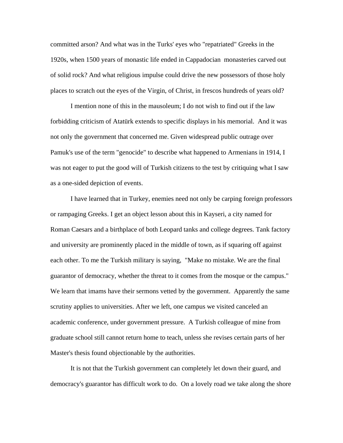committed arson? And what was in the Turks' eyes who "repatriated" Greeks in the 1920s, when 1500 years of monastic life ended in Cappadocian monasteries carved out of solid rock? And what religious impulse could drive the new possessors of those holy places to scratch out the eyes of the Virgin, of Christ, in frescos hundreds of years old?

I mention none of this in the mausoleum; I do not wish to find out if the law forbidding criticism of Atatürk extends to specific displays in his memorial. And it was not only the government that concerned me. Given widespread public outrage over Pamuk's use of the term "genocide" to describe what happened to Armenians in 1914, I was not eager to put the good will of Turkish citizens to the test by critiquing what I saw as a one-sided depiction of events.

I have learned that in Turkey, enemies need not only be carping foreign professors or rampaging Greeks. I get an object lesson about this in Kayseri, a city named for Roman Caesars and a birthplace of both Leopard tanks and college degrees. Tank factory and university are prominently placed in the middle of town, as if squaring off against each other. To me the Turkish military is saying, "Make no mistake. We are the final guarantor of democracy, whether the threat to it comes from the mosque or the campus." We learn that imams have their sermons vetted by the government. Apparently the same scrutiny applies to universities. After we left, one campus we visited canceled an academic conference, under government pressure. A Turkish colleague of mine from graduate school still cannot return home to teach, unless she revises certain parts of her Master's thesis found objectionable by the authorities.

It is not that the Turkish government can completely let down their guard, and democracy's guarantor has difficult work to do. On a lovely road we take along the shore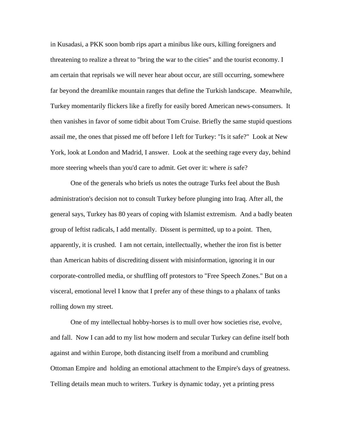in Kusadasi, a PKK soon bomb rips apart a minibus like ours, killing foreigners and threatening to realize a threat to "bring the war to the cities" and the tourist economy. I am certain that reprisals we will never hear about occur, are still occurring, somewhere far beyond the dreamlike mountain ranges that define the Turkish landscape. Meanwhile, Turkey momentarily flickers like a firefly for easily bored American news-consumers. It then vanishes in favor of some tidbit about Tom Cruise. Briefly the same stupid questions assail me, the ones that pissed me off before I left for Turkey: "Is it safe?" Look at New York, look at London and Madrid, I answer. Look at the seething rage every day, behind more steering wheels than you'd care to admit. Get over it: where *is* safe?

 One of the generals who briefs us notes the outrage Turks feel about the Bush administration's decision not to consult Turkey before plunging into Iraq. After all, the general says, Turkey has 80 years of coping with Islamist extremism. And a badly beaten group of leftist radicals, I add mentally. Dissent is permitted, up to a point. Then, apparently, it is crushed. I am not certain, intellectually, whether the iron fist is better than American habits of discrediting dissent with misinformation, ignoring it in our corporate-controlled media, or shuffling off protestors to "Free Speech Zones." But on a visceral, emotional level I know that I prefer any of these things to a phalanx of tanks rolling down my street.

One of my intellectual hobby-horses is to mull over how societies rise, evolve, and fall. Now I can add to my list how modern and secular Turkey can define itself both against and within Europe, both distancing itself from a moribund and crumbling Ottoman Empire and holding an emotional attachment to the Empire's days of greatness. Telling details mean much to writers. Turkey is dynamic today, yet a printing press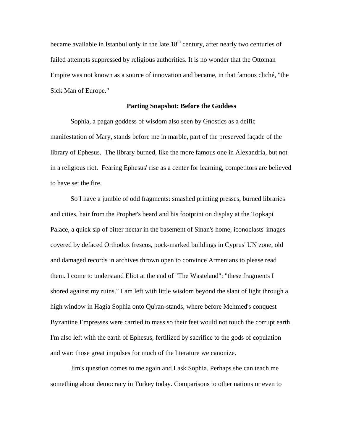became available in Istanbul only in the late  $18<sup>th</sup>$  century, after nearly two centuries of failed attempts suppressed by religious authorities. It is no wonder that the Ottoman Empire was not known as a source of innovation and became, in that famous cliché, "the Sick Man of Europe."

## **Parting Snapshot: Before the Goddess**

Sophia, a pagan goddess of wisdom also seen by Gnostics as a deific manifestation of Mary, stands before me in marble, part of the preserved façade of the library of Ephesus. The library burned, like the more famous one in Alexandria, but not in a religious riot. Fearing Ephesus' rise as a center for learning, competitors are believed to have set the fire.

So I have a jumble of odd fragments: smashed printing presses, burned libraries and cities, hair from the Prophet's beard and his footprint on display at the Topkapi Palace, a quick sip of bitter nectar in the basement of Sinan's home, iconoclasts' images covered by defaced Orthodox frescos, pock-marked buildings in Cyprus' UN zone, old and damaged records in archives thrown open to convince Armenians to please read them. I come to understand Eliot at the end of "The Wasteland": "these fragments I shored against my ruins." I am left with little wisdom beyond the slant of light through a high window in Hagia Sophia onto Qu'ran-stands, where before Mehmed's conquest Byzantine Empresses were carried to mass so their feet would not touch the corrupt earth. I'm also left with the earth of Ephesus, fertilized by sacrifice to the gods of copulation and war: those great impulses for much of the literature we canonize.

Jim's question comes to me again and I ask Sophia. Perhaps she can teach me something about democracy in Turkey today. Comparisons to other nations or even to